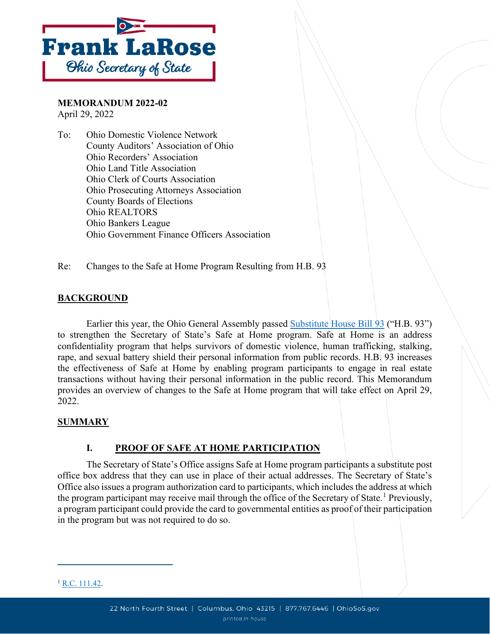

**MEMORANDUM 2022-02** April 29, 2022

To: Ohio Domestic Violence Network County Auditors' Association of Ohio Ohio Recorders' Association Ohio Land Title Association Ohio Clerk of Courts Association Ohio Prosecuting Attorneys Association County Boards of Elections Ohio REALTORS Ohio Bankers League Ohio Government Finance Officers Association

Re: Changes to the Safe at Home Program Resulting from H.B. 93

#### **BACKGROUND**

Earlier this year, the Ohio General Assembly passed [Substitute House Bill 93](https://search-prod.lis.state.oh.us/solarapi/v1/general_assembly_134/bills/hb93/EN/05/hb93_05_EN?format=pdf) ("H.B. 93") to strengthen the Secretary of State's Safe at Home program. Safe at Home is an address confidentiality program that helps survivors of domestic violence, human trafficking, stalking, rape, and sexual battery shield their personal information from public records. H.B. 93 increases the effectiveness of Safe at Home by enabling program participants to engage in real estate transactions without having their personal information in the public record. This Memorandum provides an overview of changes to the Safe at Home program that will take effect on April 29, 2022.

#### **SUMMARY**

#### **I. PROOF OF SAFE AT HOME PARTICIPATION**

The Secretary of State's Office assigns Safe at Home program participants a substitute post office box address that they can use in place of their actual addresses. The Secretary of State's Office also issues a program authorization card to participants, which includes the address at which the program participant may receive mail through the office of the Secretary of State.<sup>[1](#page-0-0)</sup> Previously, a program participant could provide the card to governmental entities as proof of their participation in the program but was not required to do so.

<span id="page-0-0"></span> $1$  [R.C. 111.42.](https://codes.ohio.gov/ohio-revised-code/section-111.42/4-29-2022)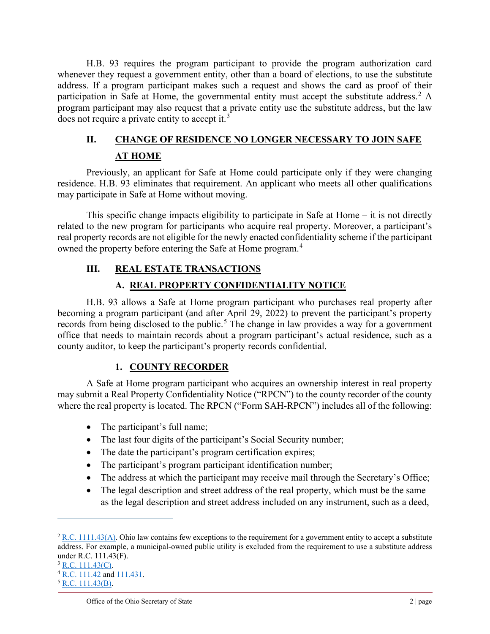H.B. 93 requires the program participant to provide the program authorization card whenever they request a government entity, other than a board of elections, to use the substitute address. If a program participant makes such a request and shows the card as proof of their participation in Safe at Home, the governmental entity must accept the substitute address.<sup>[2](#page-1-0)</sup> A program participant may also request that a private entity use the substitute address, but the law does not require a private entity to accept it.<sup>[3](#page-1-1)</sup>

# **II. CHANGE OF RESIDENCE NO LONGER NECESSARY TO JOIN SAFE AT HOME**

Previously, an applicant for Safe at Home could participate only if they were changing residence. H.B. 93 eliminates that requirement. An applicant who meets all other qualifications may participate in Safe at Home without moving.

This specific change impacts eligibility to participate in Safe at Home – it is not directly related to the new program for participants who acquire real property. Moreover, a participant's real property records are not eligible for the newly enacted confidentiality scheme if the participant owned the property before entering the Safe at Home program.<sup>[4](#page-1-2)</sup>

# **III. REAL ESTATE TRANSACTIONS**

## **A. REAL PROPERTY CONFIDENTIALITY NOTICE**

H.B. 93 allows a Safe at Home program participant who purchases real property after becoming a program participant (and after April 29, 2022) to prevent the participant's property records from being disclosed to the public.<sup>[5](#page-1-3)</sup> The change in law provides a way for a government office that needs to maintain records about a program participant's actual residence, such as a county auditor, to keep the participant's property records confidential.

### **1. COUNTY RECORDER**

A Safe at Home program participant who acquires an ownership interest in real property may submit a Real Property Confidentiality Notice ("RPCN") to the county recorder of the county where the real property is located. The RPCN ("Form SAH-RPCN") includes all of the following:

- The participant's full name;
- The last four digits of the participant's Social Security number;
- The date the participant's program certification expires;
- The participant's program participant identification number;
- The address at which the participant may receive mail through the Secretary's Office;
- The legal description and street address of the real property, which must be the same as the legal description and street address included on any instrument, such as a deed,

<span id="page-1-0"></span> $2$  [R.C. 1111.43\(A\).](https://codes.ohio.gov/ohio-revised-code/section-111.43/4-29-2022) Ohio law contains few exceptions to the requirement for a government entity to accept a substitute address. For example, a municipal-owned public utility is excluded from the requirement to use a substitute address under R.C. 111.43(F).

<span id="page-1-1"></span> $3$  [R.C. 111.43\(C\).](https://codes.ohio.gov/ohio-revised-code/section-111.43/4-29-2022)

<span id="page-1-2"></span><sup>4</sup> [R.C. 111.42](https://codes.ohio.gov/ohio-revised-code/section-111.42/4-29-2022) an[d 111.431.](https://codes.ohio.gov/ohio-revised-code/section-111.431)

<span id="page-1-3"></span> $5$  [R.C. 111.43\(B\).](https://codes.ohio.gov/ohio-revised-code/section-111.43/4-29-2022)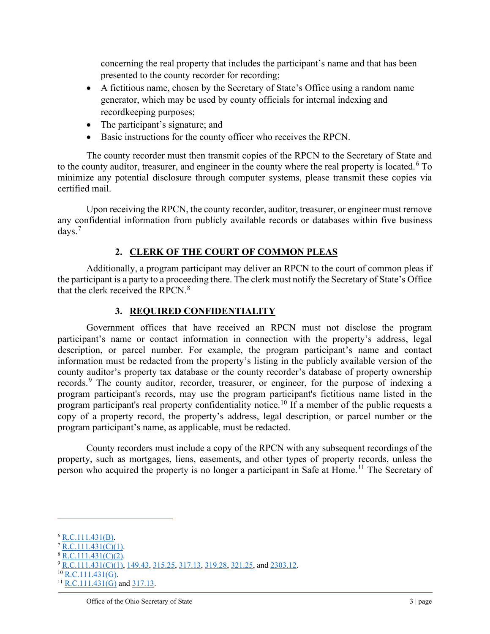concerning the real property that includes the participant's name and that has been presented to the county recorder for recording;

- A fictitious name, chosen by the Secretary of State's Office using a random name generator, which may be used by county officials for internal indexing and recordkeeping purposes;
- The participant's signature; and
- Basic instructions for the county officer who receives the RPCN.

The county recorder must then transmit copies of the RPCN to the Secretary of State and to the county auditor, treasurer, and engineer in the county where the real property is located.<sup>[6](#page-2-0)</sup> To minimize any potential disclosure through computer systems, please transmit these copies via certified mail.

Upon receiving the RPCN, the county recorder, auditor, treasurer, or engineer must remove any confidential information from publicly available records or databases within five business days. [7](#page-2-1)

### **2. CLERK OF THE COURT OF COMMON PLEAS**

Additionally, a program participant may deliver an RPCN to the court of common pleas if the participant is a party to a proceeding there. The clerk must notify the Secretary of State's Office that the clerk received the RPCN. $8$ 

#### **3. REQUIRED CONFIDENTIALITY**

Government offices that have received an RPCN must not disclose the program participant's name or contact information in connection with the property's address, legal description, or parcel number. For example, the program participant's name and contact information must be redacted from the property's listing in the publicly available version of the county auditor's property tax database or the county recorder's database of property ownership records.<sup>[9](#page-2-3)</sup> The county auditor, recorder, treasurer, or engineer, for the purpose of indexing a program participant's records, may use the program participant's fictitious name listed in the program participant's real property confidentiality notice.<sup>[10](#page-2-4)</sup> If a member of the public requests a copy of a property record, the property's address, legal description, or parcel number or the program participant's name, as applicable, must be redacted.

County recorders must include a copy of the RPCN with any subsequent recordings of the property, such as mortgages, liens, easements, and other types of property records, unless the person who acquired the property is no longer a participant in Safe at Home.<sup>[11](#page-2-5)</sup> The Secretary of

<span id="page-2-0"></span> $6$  [R.C.111.431\(B\).](https://codes.ohio.gov/ohio-revised-code/section-111.431)

<span id="page-2-1"></span> $R.C.111.431(C)(1)$ .

<span id="page-2-2"></span> $R.C.111.431(C)(2)$ .

<span id="page-2-3"></span><sup>&</sup>lt;sup>9</sup> [R.C.111.431\(C\)\(1\),](https://codes.ohio.gov/ohio-revised-code/section-111.431) [149.43,](https://codes.ohio.gov/ohio-revised-code/section-149.43/4-29-2022) [315.25,](https://codes.ohio.gov/ohio-revised-code/section-315.25/4-29-2022) [317.13,](https://codes.ohio.gov/ohio-revised-code/section-317.13/4-29-2022) [319.28,](https://codes.ohio.gov/ohio-revised-code/section-319.28/4-29-2022) [321.25,](https://codes.ohio.gov/ohio-revised-code/section-321.25) and [2303.12.](https://codes.ohio.gov/ohio-revised-code/section-2303.12/4-29-2022)  $10$  [R.C.111.431\(G\).](https://codes.ohio.gov/ohio-revised-code/section-111.431)

<span id="page-2-4"></span>

<span id="page-2-5"></span> $^{11}$  [R.C.111.431\(G\)](https://codes.ohio.gov/ohio-revised-code/section-111.431) and [317.13.](https://codes.ohio.gov/ohio-revised-code/section-317.13/4-29-2022)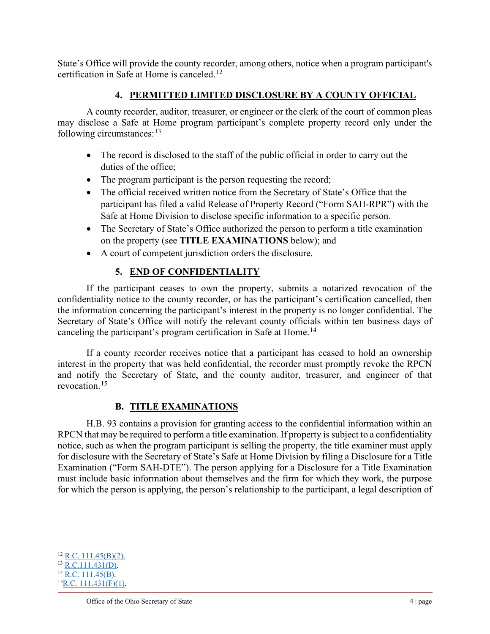State's Office will provide the county recorder, among others, notice when a program participant's certification in Safe at Home is canceled.<sup>[12](#page-3-0)</sup>

### **4. PERMITTED LIMITED DISCLOSURE BY A COUNTY OFFICIAL**

A county recorder, auditor, treasurer, or engineer or the clerk of the court of common pleas may disclose a Safe at Home program participant's complete property record only under the following circumstances: $13$ 

- The record is disclosed to the staff of the public official in order to carry out the duties of the office;
- The program participant is the person requesting the record;
- The official received written notice from the Secretary of State's Office that the participant has filed a valid Release of Property Record ("Form SAH-RPR") with the Safe at Home Division to disclose specific information to a specific person.
- The Secretary of State's Office authorized the person to perform a title examination on the property (see **TITLE EXAMINATIONS** below); and
- A court of competent jurisdiction orders the disclosure.

### **5. END OF CONFIDENTIALITY**

If the participant ceases to own the property, submits a notarized revocation of the confidentiality notice to the county recorder, or has the participant's certification cancelled, then the information concerning the participant's interest in the property is no longer confidential. The Secretary of State's Office will notify the relevant county officials within ten business days of canceling the participant's program certification in Safe at Home.<sup>[14](#page-3-2)</sup>

If a county recorder receives notice that a participant has ceased to hold an ownership interest in the property that was held confidential, the recorder must promptly revoke the RPCN and notify the Secretary of State, and the county auditor, treasurer, and engineer of that revocation. [15](#page-3-3)

#### **B. TITLE EXAMINATIONS**

H.B. 93 contains a provision for granting access to the confidential information within an RPCN that may be required to perform a title examination. If property is subject to a confidentiality notice, such as when the program participant is selling the property, the title examiner must apply for disclosure with the Secretary of State's Safe at Home Division by filing a Disclosure for a Title Examination ("Form SAH-DTE"). The person applying for a Disclosure for a Title Examination must include basic information about themselves and the firm for which they work, the purpose for which the person is applying, the person's relationship to the participant, a legal description of

<span id="page-3-0"></span> $12$  [R.C. 111.45\(B\)\(](https://codes.ohio.gov/ohio-revised-code/section-111.45/4-29-2022)2).

<span id="page-3-1"></span> $13$  [R.C.111.431\(D\).](https://codes.ohio.gov/ohio-revised-code/section-111.431)

<span id="page-3-3"></span><span id="page-3-2"></span> $^{14}$  [R.C. 111.45\(B\).](https://codes.ohio.gov/ohio-revised-code/section-111.45/4-29-2022)  $^{15}$ R.C. 111.431(F)(1).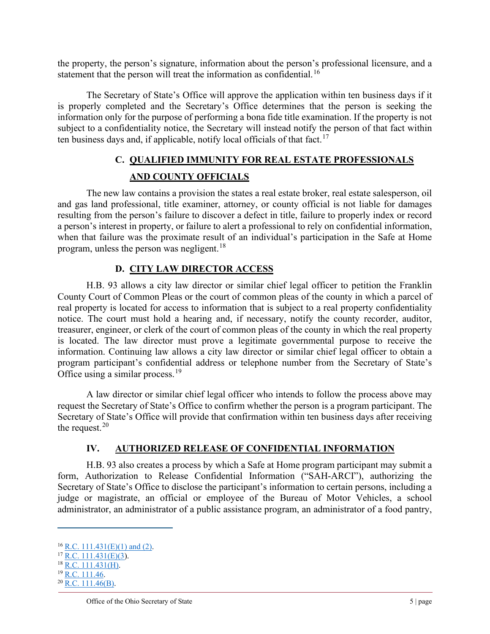the property, the person's signature, information about the person's professional licensure, and a statement that the person will treat the information as confidential.<sup>[16](#page-4-0)</sup>

The Secretary of State's Office will approve the application within ten business days if it is properly completed and the Secretary's Office determines that the person is seeking the information only for the purpose of performing a bona fide title examination. If the property is not subject to a confidentiality notice, the Secretary will instead notify the person of that fact within ten business days and, if applicable, notify local officials of that fact.<sup>[17](#page-4-1)</sup>

# **C. QUALIFIED IMMUNITY FOR REAL ESTATE PROFESSIONALS AND COUNTY OFFICIALS**

The new law contains a provision the states a real estate broker, real estate salesperson, oil and gas land professional, title examiner, attorney, or county official is not liable for damages resulting from the person's failure to discover a defect in title, failure to properly index or record a person's interest in property, or failure to alert a professional to rely on confidential information, when that failure was the proximate result of an individual's participation in the Safe at Home program, unless the person was negligent.<sup>[18](#page-4-2)</sup>

### **D. CITY LAW DIRECTOR ACCESS**

H.B. 93 allows a city law director or similar chief legal officer to petition the Franklin County Court of Common Pleas or the court of common pleas of the county in which a parcel of real property is located for access to information that is subject to a real property confidentiality notice. The court must hold a hearing and, if necessary, notify the county recorder, auditor, treasurer, engineer, or clerk of the court of common pleas of the county in which the real property is located. The law director must prove a legitimate governmental purpose to receive the information. Continuing law allows a city law director or similar chief legal officer to obtain a program participant's confidential address or telephone number from the Secretary of State's Office using a similar process.<sup>[19](#page-4-3)</sup>

A law director or similar chief legal officer who intends to follow the process above may request the Secretary of State's Office to confirm whether the person is a program participant. The Secretary of State's Office will provide that confirmation within ten business days after receiving the request. $20$ 

### **IV. AUTHORIZED RELEASE OF CONFIDENTIAL INFORMATION**

H.B. 93 also creates a process by which a Safe at Home program participant may submit a form, Authorization to Release Confidential Information ("SAH-ARCI"), authorizing the Secretary of State's Office to disclose the participant's information to certain persons, including a judge or magistrate, an official or employee of the Bureau of Motor Vehicles, a school administrator, an administrator of a public assistance program, an administrator of a food pantry,

<span id="page-4-2"></span> $18$  [R.C. 111.431\(H\).](https://codes.ohio.gov/ohio-revised-code/section-111.431)

<span id="page-4-0"></span> $16$  [R.C. 111.431\(E\)\(1\) and \(2\).](https://codes.ohio.gov/ohio-revised-code/section-111.431)

<span id="page-4-1"></span> $17$  [R.C. 111.431\(E\)\(3\)](https://codes.ohio.gov/ohio-revised-code/section-111.431).

<span id="page-4-3"></span><sup>&</sup>lt;sup>19</sup> [R.C. 111.46.](https://codes.ohio.gov/ohio-revised-code/section-111.46/4-29-2022)

<span id="page-4-4"></span> $^{20}$  [R.C. 111.46\(B\).](https://codes.ohio.gov/ohio-revised-code/section-111.46/4-29-2022)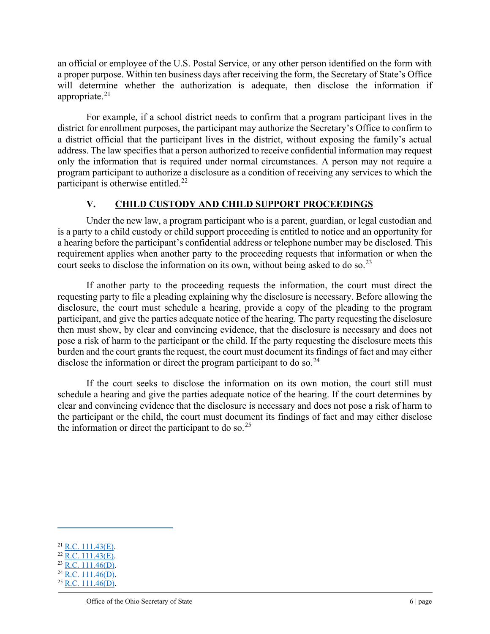an official or employee of the U.S. Postal Service, or any other person identified on the form with a proper purpose. Within ten business days after receiving the form, the Secretary of State's Office will determine whether the authorization is adequate, then disclose the information if appropriate. $21$ 

For example, if a school district needs to confirm that a program participant lives in the district for enrollment purposes, the participant may authorize the Secretary's Office to confirm to a district official that the participant lives in the district, without exposing the family's actual address. The law specifies that a person authorized to receive confidential information may request only the information that is required under normal circumstances. A person may not require a program participant to authorize a disclosure as a condition of receiving any services to which the participant is otherwise entitled.<sup>[22](#page-5-1)</sup>

### **V. CHILD CUSTODY AND CHILD SUPPORT PROCEEDINGS**

Under the new law, a program participant who is a parent, guardian, or legal custodian and is a party to a child custody or child support proceeding is entitled to notice and an opportunity for a hearing before the participant's confidential address or telephone number may be disclosed. This requirement applies when another party to the proceeding requests that information or when the court seeks to disclose the information on its own, without being asked to do so.<sup>[23](#page-5-2)</sup>

If another party to the proceeding requests the information, the court must direct the requesting party to file a pleading explaining why the disclosure is necessary. Before allowing the disclosure, the court must schedule a hearing, provide a copy of the pleading to the program participant, and give the parties adequate notice of the hearing. The party requesting the disclosure then must show, by clear and convincing evidence, that the disclosure is necessary and does not pose a risk of harm to the participant or the child. If the party requesting the disclosure meets this burden and the court grants the request, the court must document its findings of fact and may either disclose the information or direct the program participant to do so.<sup>[24](#page-5-3)</sup>

If the court seeks to disclose the information on its own motion, the court still must schedule a hearing and give the parties adequate notice of the hearing. If the court determines by clear and convincing evidence that the disclosure is necessary and does not pose a risk of harm to the participant or the child, the court must document its findings of fact and may either disclose the information or direct the participant to do so.<sup>[25](#page-5-4)</sup>

<span id="page-5-0"></span> $21$  [R.C. 111.43\(E\).](https://codes.ohio.gov/ohio-revised-code/section-111.43/4-29-2022)

<span id="page-5-1"></span> $22$  [R.C. 111.43\(E\).](https://codes.ohio.gov/ohio-revised-code/section-111.43/4-29-2022)

<span id="page-5-2"></span> $23$  [R.C. 111.46\(D\).](https://codes.ohio.gov/ohio-revised-code/section-111.46/4-29-2022)

<span id="page-5-4"></span><span id="page-5-3"></span> $^{24}$  [R.C. 111.46\(D\).](https://codes.ohio.gov/ohio-revised-code/section-111.46/4-29-2022)  $25$  [R.C. 111.46\(D\).](https://codes.ohio.gov/ohio-revised-code/section-111.46/4-29-2022)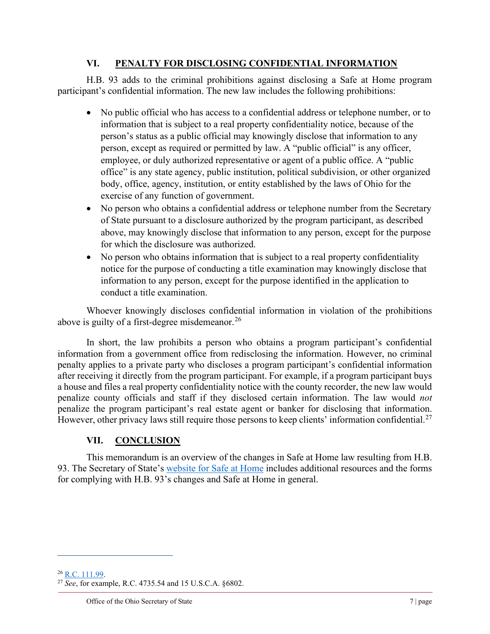#### **VI. PENALTY FOR DISCLOSING CONFIDENTIAL INFORMATION**

H.B. 93 adds to the criminal prohibitions against disclosing a Safe at Home program participant's confidential information. The new law includes the following prohibitions:

- No public official who has access to a confidential address or telephone number, or to information that is subject to a real property confidentiality notice, because of the person's status as a public official may knowingly disclose that information to any person, except as required or permitted by law. A "public official" is any officer, employee, or duly authorized representative or agent of a public office. A "public office" is any state agency, public institution, political subdivision, or other organized body, office, agency, institution, or entity established by the laws of Ohio for the exercise of any function of government.
- No person who obtains a confidential address or telephone number from the Secretary of State pursuant to a disclosure authorized by the program participant, as described above, may knowingly disclose that information to any person, except for the purpose for which the disclosure was authorized.
- No person who obtains information that is subject to a real property confidentiality notice for the purpose of conducting a title examination may knowingly disclose that information to any person, except for the purpose identified in the application to conduct a title examination.

Whoever knowingly discloses confidential information in violation of the prohibitions above is guilty of a first-degree misdemeanor.  $^{26}$  $^{26}$  $^{26}$ 

In short, the law prohibits a person who obtains a program participant's confidential information from a government office from redisclosing the information. However, no criminal penalty applies to a private party who discloses a program participant's confidential information after receiving it directly from the program participant. For example, if a program participant buys a house and files a real property confidentiality notice with the county recorder, the new law would penalize county officials and staff if they disclosed certain information. The law would *not* penalize the program participant's real estate agent or banker for disclosing that information. However, other privacy laws still require those persons to keep clients' information confidential.<sup>[27](#page-6-1)</sup>

# **VII. CONCLUSION**

This memorandum is an overview of the changes in Safe at Home law resulting from H.B. 93. The Secretary of State's [website for Safe at Home](https://www.ohiosos.gov/secretary-office/office-initiatives/safe-at-home/) includes additional resources and the forms for complying with H.B. 93's changes and Safe at Home in general.

<span id="page-6-0"></span><sup>26</sup> [R.C. 111.99.](https://codes.ohio.gov/ohio-revised-code/section-111.99/4-29-2022)

<span id="page-6-1"></span><sup>27</sup> *See*, for example, R.C. 4735.54 and 15 U.S.C.A. §6802.